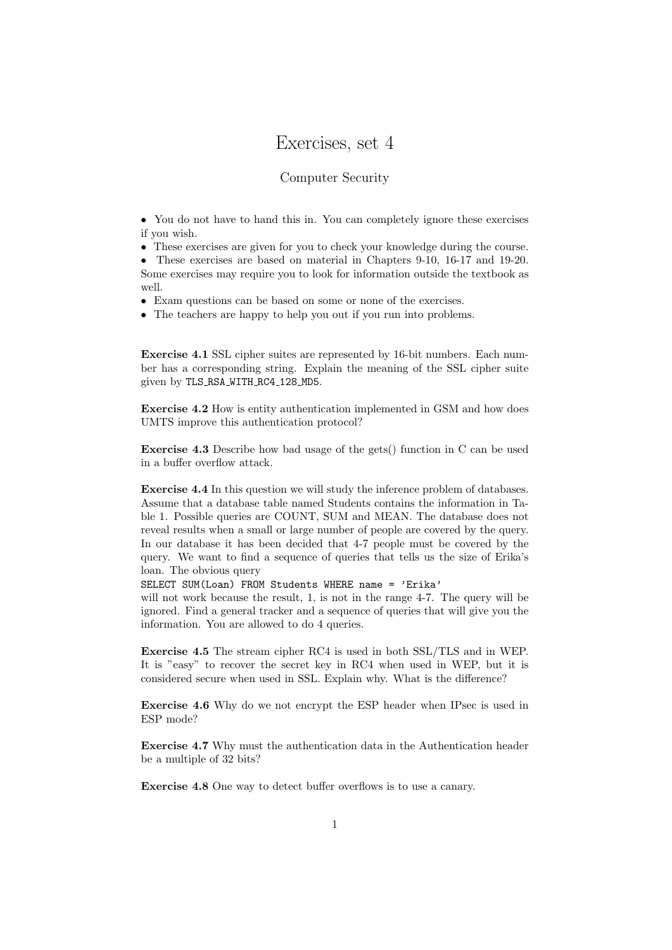## Exercises, set 4

## Computer Security

• You do not have to hand this in. You can completely ignore these exercises if you wish.

• These exercises are given for you to check your knowledge during the course.

• These exercises are based on material in Chapters 9-10, 16-17 and 19-20. Some exercises may require you to look for information outside the textbook as well.

• Exam questions can be based on some or none of the exercises.

• The teachers are happy to help you out if you run into problems.

Exercise 4.1 SSL cipher suites are represented by 16-bit numbers. Each number has a corresponding string. Explain the meaning of the SSL cipher suite given by TLS RSA WITH RC4 128 MD5.

Exercise 4.2 How is entity authentication implemented in GSM and how does UMTS improve this authentication protocol?

Exercise 4.3 Describe how bad usage of the gets() function in C can be used in a buffer overflow attack.

Exercise 4.4 In this question we will study the inference problem of databases. Assume that a database table named Students contains the information in Table 1. Possible queries are COUNT, SUM and MEAN. The database does not reveal results when a small or large number of people are covered by the query. In our database it has been decided that 4-7 people must be covered by the query. We want to find a sequence of queries that tells us the size of Erika's loan. The obvious query

SELECT SUM(Loan) FROM Students WHERE name = 'Erika'

will not work because the result, 1, is not in the range 4-7. The query will be ignored. Find a general tracker and a sequence of queries that will give you the information. You are allowed to do 4 queries.

Exercise 4.5 The stream cipher RC4 is used in both SSL/TLS and in WEP. It is "easy" to recover the secret key in RC4 when used in WEP, but it is considered secure when used in SSL. Explain why. What is the difference?

Exercise 4.6 Why do we not encrypt the ESP header when IPsec is used in ESP mode?

Exercise 4.7 Why must the authentication data in the Authentication header be a multiple of 32 bits?

Exercise 4.8 One way to detect buffer overflows is to use a canary.